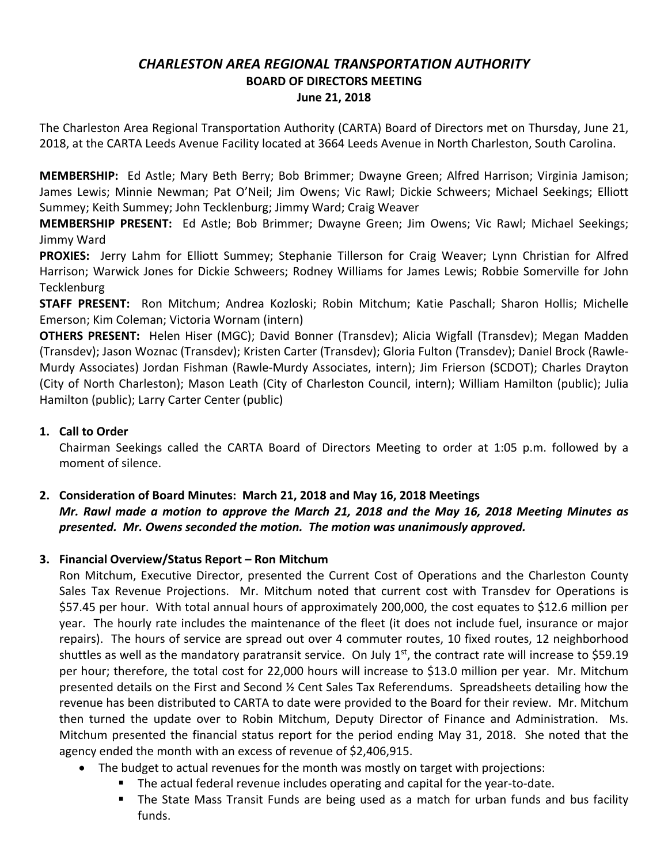## *CHARLESTON AREA REGIONAL TRANSPORTATION AUTHORITY* **BOARD OF DIRECTORS MEETING June 21, 2018**

The Charleston Area Regional Transportation Authority (CARTA) Board of Directors met on Thursday, June 21, 2018, at the CARTA Leeds Avenue Facility located at 3664 Leeds Avenue in North Charleston, South Carolina.

**MEMBERSHIP:** Ed Astle; Mary Beth Berry; Bob Brimmer; Dwayne Green; Alfred Harrison; Virginia Jamison; James Lewis; Minnie Newman; Pat O'Neil; Jim Owens; Vic Rawl; Dickie Schweers; Michael Seekings; Elliott Summey; Keith Summey; John Tecklenburg; Jimmy Ward; Craig Weaver

**MEMBERSHIP PRESENT:** Ed Astle; Bob Brimmer; Dwayne Green; Jim Owens; Vic Rawl; Michael Seekings; Jimmy Ward

**PROXIES:** Jerry Lahm for Elliott Summey; Stephanie Tillerson for Craig Weaver; Lynn Christian for Alfred Harrison; Warwick Jones for Dickie Schweers; Rodney Williams for James Lewis; Robbie Somerville for John **Tecklenburg** 

**STAFF PRESENT:** Ron Mitchum; Andrea Kozloski; Robin Mitchum; Katie Paschall; Sharon Hollis; Michelle Emerson; Kim Coleman; Victoria Wornam (intern)

**OTHERS PRESENT:** Helen Hiser (MGC); David Bonner (Transdev); Alicia Wigfall (Transdev); Megan Madden (Transdev); Jason Woznac (Transdev); Kristen Carter (Transdev); Gloria Fulton (Transdev); Daniel Brock (Rawle-Murdy Associates) Jordan Fishman (Rawle-Murdy Associates, intern); Jim Frierson (SCDOT); Charles Drayton (City of North Charleston); Mason Leath (City of Charleston Council, intern); William Hamilton (public); Julia Hamilton (public); Larry Carter Center (public)

### **1. Call to Order**

Chairman Seekings called the CARTA Board of Directors Meeting to order at 1:05 p.m. followed by a moment of silence.

# **2. Consideration of Board Minutes: March 21, 2018 and May 16, 2018 Meetings**

## *Mr. Rawl made a motion to approve the March 21, 2018 and the May 16, 2018 Meeting Minutes as presented. Mr. Owens seconded the motion. The motion was unanimously approved.*

#### **3. Financial Overview/Status Report – Ron Mitchum**

Ron Mitchum, Executive Director, presented the Current Cost of Operations and the Charleston County Sales Tax Revenue Projections. Mr. Mitchum noted that current cost with Transdev for Operations is \$57.45 per hour. With total annual hours of approximately 200,000, the cost equates to \$12.6 million per year. The hourly rate includes the maintenance of the fleet (it does not include fuel, insurance or major repairs). The hours of service are spread out over 4 commuter routes, 10 fixed routes, 12 neighborhood shuttles as well as the mandatory paratransit service. On July  $1<sup>st</sup>$ , the contract rate will increase to \$59.19 per hour; therefore, the total cost for 22,000 hours will increase to \$13.0 million per year. Mr. Mitchum presented details on the First and Second ½ Cent Sales Tax Referendums. Spreadsheets detailing how the revenue has been distributed to CARTA to date were provided to the Board for their review. Mr. Mitchum then turned the update over to Robin Mitchum, Deputy Director of Finance and Administration. Ms. Mitchum presented the financial status report for the period ending May 31, 2018. She noted that the agency ended the month with an excess of revenue of \$2,406,915.

- The budget to actual revenues for the month was mostly on target with projections:
	- § The actual federal revenue includes operating and capital for the year-to-date.
	- § The State Mass Transit Funds are being used as a match for urban funds and bus facility funds.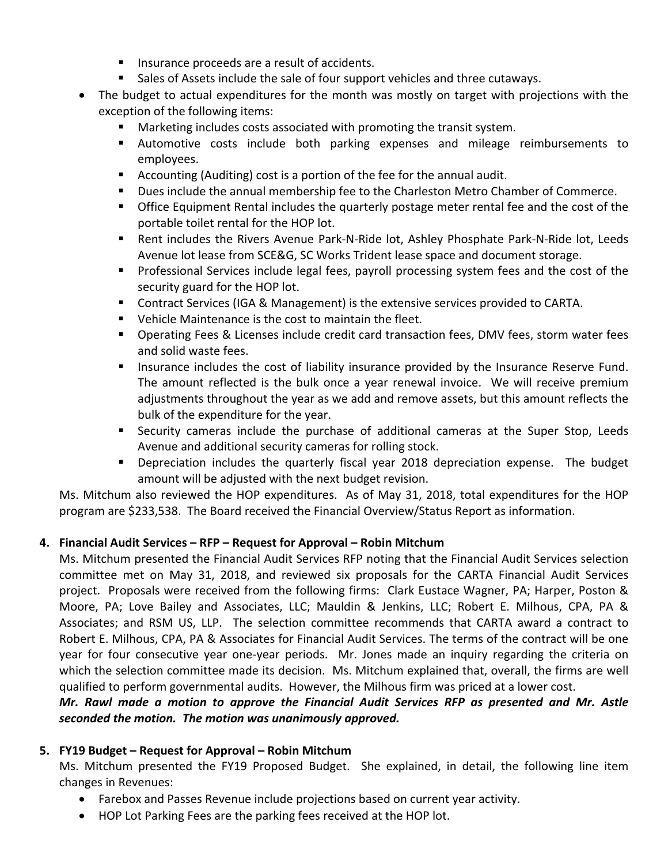- Insurance proceeds are a result of accidents.
- Sales of Assets include the sale of four support vehicles and three cutaways.
- The budget to actual expenditures for the month was mostly on target with projections with the exception of the following items:
	- Marketing includes costs associated with promoting the transit system.
	- § Automotive costs include both parking expenses and mileage reimbursements to employees.
	- Accounting (Auditing) cost is a portion of the fee for the annual audit.
	- § Dues include the annual membership fee to the Charleston Metro Chamber of Commerce.
	- Office Equipment Rental includes the quarterly postage meter rental fee and the cost of the portable toilet rental for the HOP lot.
	- Rent includes the Rivers Avenue Park-N-Ride lot, Ashley Phosphate Park-N-Ride lot, Leeds Avenue lot lease from SCE&G, SC Works Trident lease space and document storage.
	- Professional Services include legal fees, payroll processing system fees and the cost of the security guard for the HOP lot.
	- Contract Services (IGA & Management) is the extensive services provided to CARTA.
	- Vehicle Maintenance is the cost to maintain the fleet.
	- Operating Fees & Licenses include credit card transaction fees, DMV fees, storm water fees and solid waste fees.
	- **■** Insurance includes the cost of liability insurance provided by the Insurance Reserve Fund. The amount reflected is the bulk once a year renewal invoice. We will receive premium adjustments throughout the year as we add and remove assets, but this amount reflects the bulk of the expenditure for the year.
	- Security cameras include the purchase of additional cameras at the Super Stop, Leeds Avenue and additional security cameras for rolling stock.
	- § Depreciation includes the quarterly fiscal year 2018 depreciation expense. The budget amount will be adjusted with the next budget revision.

Ms. Mitchum also reviewed the HOP expenditures. As of May 31, 2018, total expenditures for the HOP program are \$233,538. The Board received the Financial Overview/Status Report as information.

#### **4. Financial Audit Services – RFP – Request for Approval – Robin Mitchum**

Ms. Mitchum presented the Financial Audit Services RFP noting that the Financial Audit Services selection committee met on May 31, 2018, and reviewed six proposals for the CARTA Financial Audit Services project. Proposals were received from the following firms: Clark Eustace Wagner, PA; Harper, Poston & Moore, PA; Love Bailey and Associates, LLC; Mauldin & Jenkins, LLC; Robert E. Milhous, CPA, PA & Associates; and RSM US, LLP. The selection committee recommends that CARTA award a contract to Robert E. Milhous, CPA, PA & Associates for Financial Audit Services. The terms of the contract will be one year for four consecutive year one-year periods. Mr. Jones made an inquiry regarding the criteria on which the selection committee made its decision. Ms. Mitchum explained that, overall, the firms are well qualified to perform governmental audits. However, the Milhous firm was priced at a lower cost.

#### *Mr. Rawl made a motion to approve the Financial Audit Services RFP as presented and Mr. Astle seconded the motion. The motion was unanimously approved.*

#### **5. FY19 Budget – Request for Approval – Robin Mitchum**

Ms. Mitchum presented the FY19 Proposed Budget. She explained, in detail, the following line item changes in Revenues:

- Farebox and Passes Revenue include projections based on current year activity.
- HOP Lot Parking Fees are the parking fees received at the HOP lot.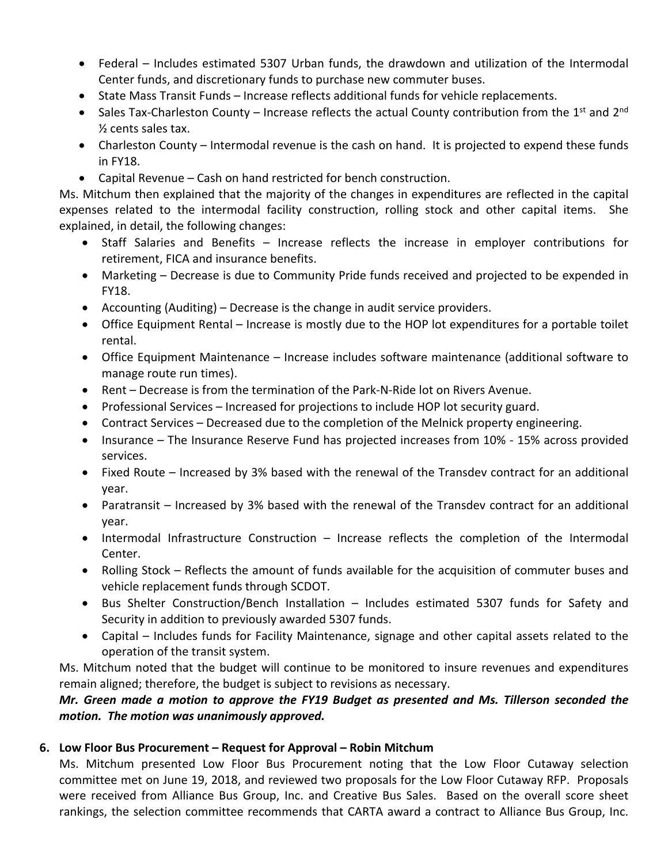- Federal Includes estimated 5307 Urban funds, the drawdown and utilization of the Intermodal Center funds, and discretionary funds to purchase new commuter buses.
- State Mass Transit Funds Increase reflects additional funds for vehicle replacements.
- Sales Tax-Charleston County Increase reflects the actual County contribution from the 1<sup>st</sup> and 2<sup>nd</sup> ½ cents sales tax.
- Charleston County Intermodal revenue is the cash on hand. It is projected to expend these funds in FY18.
- Capital Revenue Cash on hand restricted for bench construction.

Ms. Mitchum then explained that the majority of the changes in expenditures are reflected in the capital expenses related to the intermodal facility construction, rolling stock and other capital items. She explained, in detail, the following changes:

- Staff Salaries and Benefits Increase reflects the increase in employer contributions for retirement, FICA and insurance benefits.
- Marketing Decrease is due to Community Pride funds received and projected to be expended in FY18.
- Accounting (Auditing) Decrease is the change in audit service providers.
- Office Equipment Rental Increase is mostly due to the HOP lot expenditures for a portable toilet rental.
- Office Equipment Maintenance Increase includes software maintenance (additional software to manage route run times).
- Rent Decrease is from the termination of the Park-N-Ride lot on Rivers Avenue.
- Professional Services Increased for projections to include HOP lot security guard.
- Contract Services Decreased due to the completion of the Melnick property engineering.
- Insurance The Insurance Reserve Fund has projected increases from 10% 15% across provided services.
- Fixed Route Increased by 3% based with the renewal of the Transdev contract for an additional year.
- Paratransit Increased by 3% based with the renewal of the Transdev contract for an additional year.
- Intermodal Infrastructure Construction Increase reflects the completion of the Intermodal Center.
- Rolling Stock Reflects the amount of funds available for the acquisition of commuter buses and vehicle replacement funds through SCDOT.
- Bus Shelter Construction/Bench Installation Includes estimated 5307 funds for Safety and Security in addition to previously awarded 5307 funds.
- Capital Includes funds for Facility Maintenance, signage and other capital assets related to the operation of the transit system.

Ms. Mitchum noted that the budget will continue to be monitored to insure revenues and expenditures remain aligned; therefore, the budget is subject to revisions as necessary.

## *Mr. Green made a motion to approve the FY19 Budget as presented and Ms. Tillerson seconded the motion. The motion was unanimously approved.*

#### **6. Low Floor Bus Procurement – Request for Approval – Robin Mitchum**

Ms. Mitchum presented Low Floor Bus Procurement noting that the Low Floor Cutaway selection committee met on June 19, 2018, and reviewed two proposals for the Low Floor Cutaway RFP. Proposals were received from Alliance Bus Group, Inc. and Creative Bus Sales. Based on the overall score sheet rankings, the selection committee recommends that CARTA award a contract to Alliance Bus Group, Inc.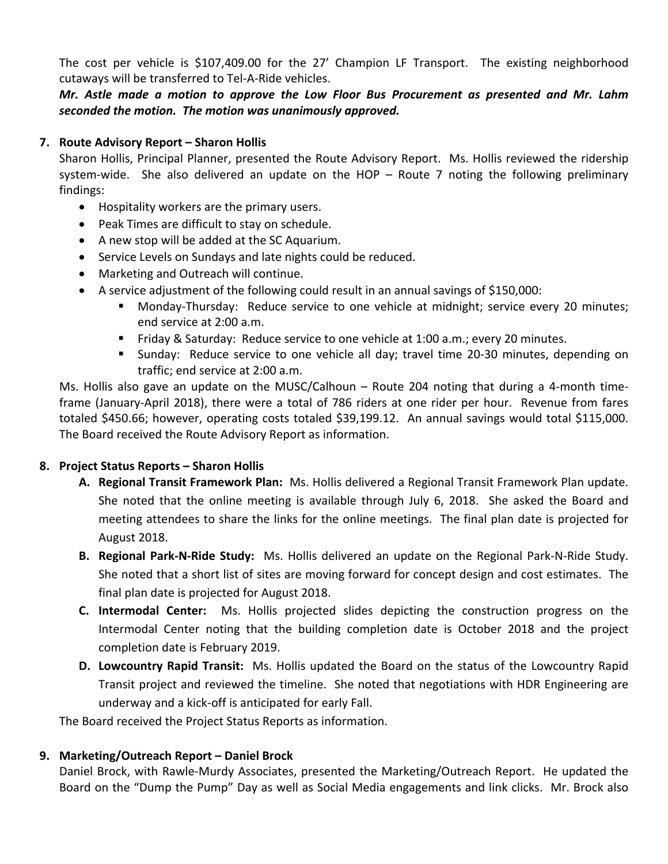The cost per vehicle is \$107,409.00 for the 27' Champion LF Transport. The existing neighborhood cutaways will be transferred to Tel-A-Ride vehicles.

*Mr. Astle made a motion to approve the Low Floor Bus Procurement as presented and Mr. Lahm seconded the motion. The motion was unanimously approved.*

#### **7. Route Advisory Report – Sharon Hollis**

Sharon Hollis, Principal Planner, presented the Route Advisory Report. Ms. Hollis reviewed the ridership system-wide. She also delivered an update on the HOP – Route 7 noting the following preliminary findings:

- Hospitality workers are the primary users.
- Peak Times are difficult to stay on schedule.
- A new stop will be added at the SC Aquarium.
- Service Levels on Sundays and late nights could be reduced.
- Marketing and Outreach will continue.
- A service adjustment of the following could result in an annual savings of \$150,000:
	- § Monday-Thursday: Reduce service to one vehicle at midnight; service every 20 minutes; end service at 2:00 a.m.
	- Friday & Saturday: Reduce service to one vehicle at 1:00 a.m.; every 20 minutes.
	- § Sunday: Reduce service to one vehicle all day; travel time 20-30 minutes, depending on traffic; end service at 2:00 a.m.

Ms. Hollis also gave an update on the MUSC/Calhoun – Route 204 noting that during a 4-month timeframe (January-April 2018), there were a total of 786 riders at one rider per hour. Revenue from fares totaled \$450.66; however, operating costs totaled \$39,199.12. An annual savings would total \$115,000. The Board received the Route Advisory Report as information.

#### **8. Project Status Reports – Sharon Hollis**

- **A. Regional Transit Framework Plan:** Ms. Hollis delivered a Regional Transit Framework Plan update. She noted that the online meeting is available through July 6, 2018. She asked the Board and meeting attendees to share the links for the online meetings. The final plan date is projected for August 2018.
- **B. Regional Park-N-Ride Study:** Ms. Hollis delivered an update on the Regional Park-N-Ride Study. She noted that a short list of sites are moving forward for concept design and cost estimates. The final plan date is projected for August 2018.
- **C. Intermodal Center:** Ms. Hollis projected slides depicting the construction progress on the Intermodal Center noting that the building completion date is October 2018 and the project completion date is February 2019.
- **D. Lowcountry Rapid Transit:** Ms. Hollis updated the Board on the status of the Lowcountry Rapid Transit project and reviewed the timeline. She noted that negotiations with HDR Engineering are underway and a kick-off is anticipated for early Fall.

The Board received the Project Status Reports as information.

#### **9. Marketing/Outreach Report – Daniel Brock**

Daniel Brock, with Rawle-Murdy Associates, presented the Marketing/Outreach Report. He updated the Board on the "Dump the Pump" Day as well as Social Media engagements and link clicks. Mr. Brock also